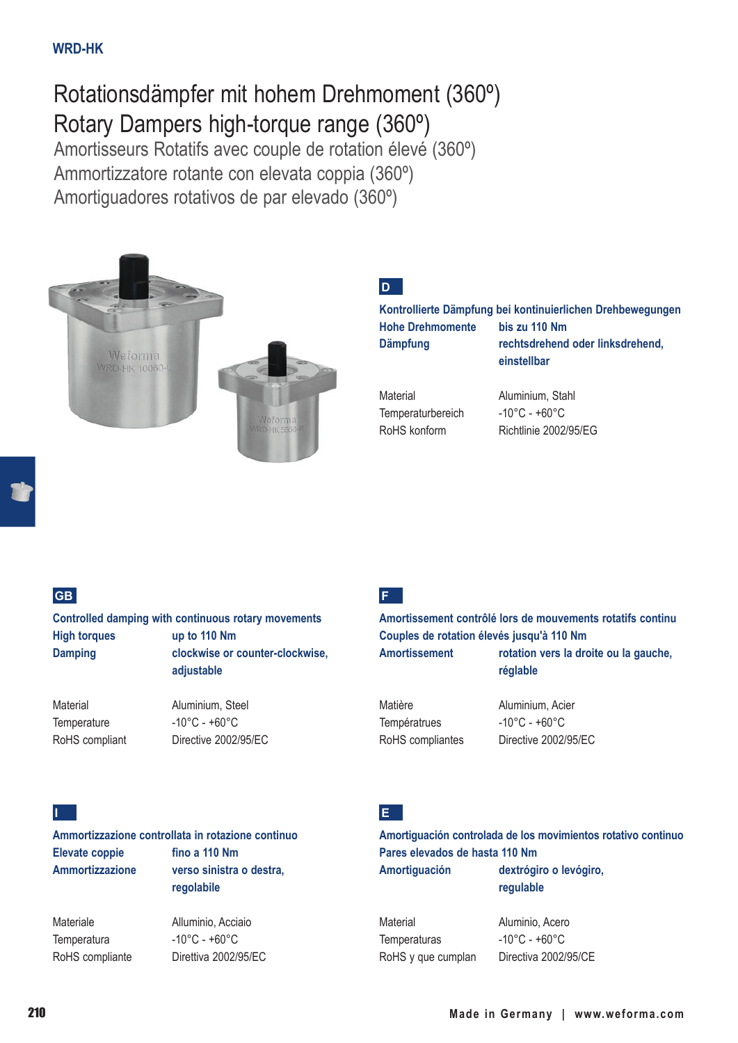# Rotationsdämpfer mit hohem Drehmoment (360º) Rotary Dampers high-torque range (360º)

Amortisseurs Rotatifs avec couple de rotation élevé (360º) Ammortizzatore rotante con elevata coppia (360º) Amortiguadores rotativos de par elevado (360º)



### **D**

#### **Kontrollierte Dämpfung bei kontinuierlichen Drehbewegungen Hohe Drehmomente bis zu 110 Nm Dämpfung rechtsdrehend oder linksdrehend, einstellbar**

Temperaturbereich -10°C - +60°C RoHS konform Richtlinie 2002/95/EG

Material **Aluminium, Stahl** 

#### **GB**

**Controlled damping with continuous rotary movements High torques up to 110 Nm Damping clockwise or counter-clockwise, adjustable**

Temperature -10°C - +60°C

Material **Aluminium**, Steel RoHS compliant Directive 2002/95/EC

## **F**

**Amortissement contrôlé lors de mouvements rotatifs continu Couples de rotation élevés jusqu'à 110 Nm Amortissement rotation vers la droite ou la gauche, réglable**

Températrues -10°C - +60°C

Matière **Aluminium, Acier** RoHS compliantes Directive 2002/95/EC

#### **I**

### **Ammortizzazione controllata in rotazione continuo** Elevate coppie fino a 110 Nm **Ammortizzazione verso sinistra o destra,**

Temperatura -10°C - +60°C RoHS compliante Direttiva 2002/95/EC

**regolabile** Materiale **Alluminio, Acciaio** 

#### **E**

#### **Amortiguación controlada de los movimientos rotativo continuo Pares elevados de hasta 110 Nm Amortiguación dextrógiro o levógiro, regulable**

Material Aluminio, Acero Temperaturas -10°C - +60°C RoHS y que cumplan Directiva 2002/95/CE